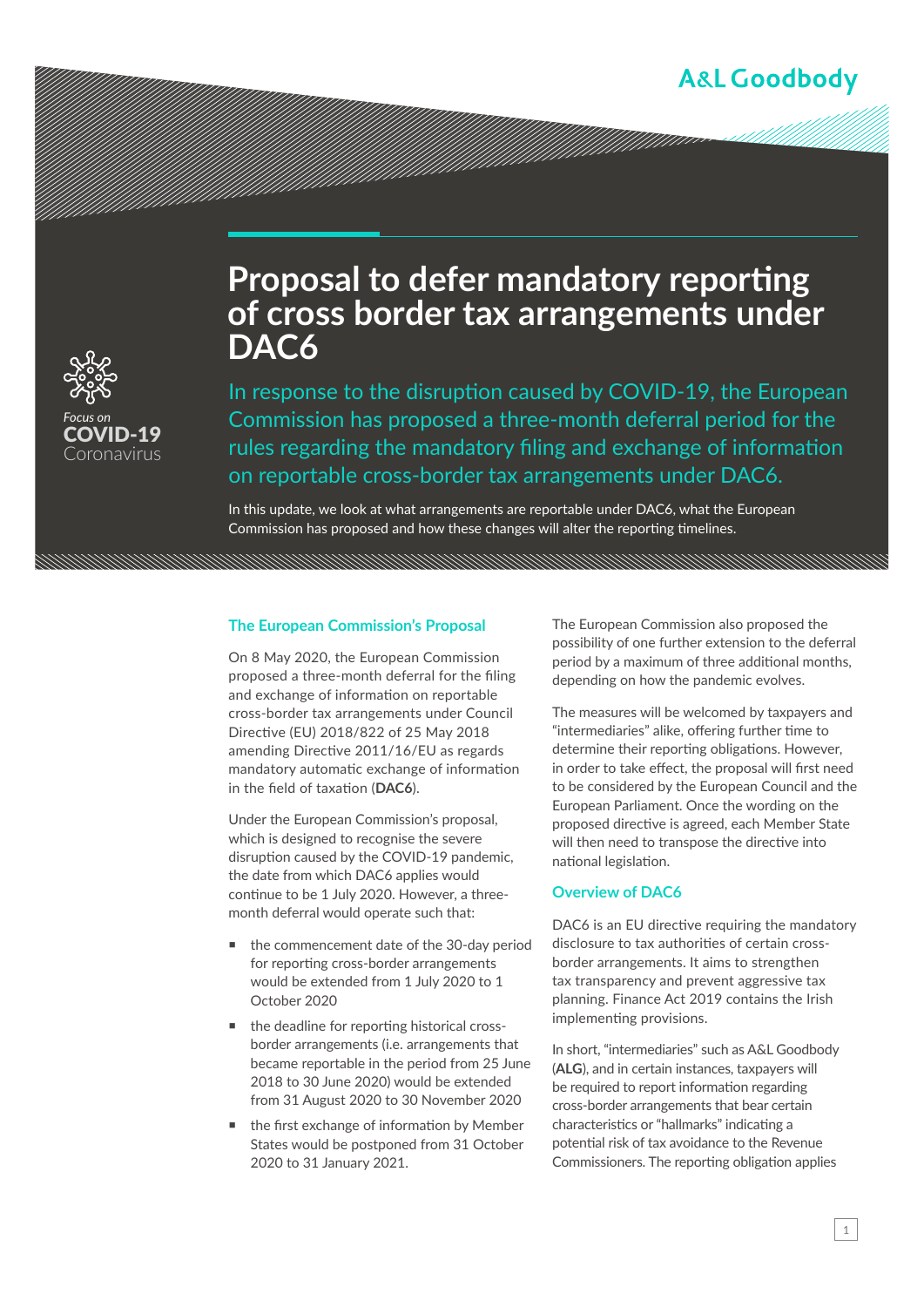## **A&L Goodbody**



# **Proposal to defer mandatory reporting of cross border tax arrangements under DAC6**

a katika kutoka kutoka kutoka kutoka kutoka kutoka kutoka kutoka kutoka kutoka kutoka kutoka kutoka kutoka kut<br>Katika kutoka kutoka kutoka kutoka kutoka kutoka kutoka kutoka kutoka kutoka kutoka kutoka kutoka kutoka kutok

In response to the disruption caused by COVID-19, the European Commission has proposed a three-month deferral period for the rules regarding the mandatory filing and exchange of information on reportable cross-border tax arrangements under DAC6.

In this update, we look at what arrangements are reportable under DAC6, what the European Commission has proposed and how these changes will alter the reporting timelines.

#### **The European Commission's Proposal**

On 8 May 2020, the European Commission proposed a three-month deferral for the filing and exchange of information on reportable cross-border tax arrangements under Council Directive (EU) 2018/822 of 25 May 2018 amending Directive 2011/16/EU as regards mandatory automatic exchange of information in the field of taxation (**DAC6**).

Under the European Commission's proposal, which is designed to recognise the severe disruption caused by the COVID-19 pandemic, the date from which DAC6 applies would continue to be 1 July 2020. However, a threemonth deferral would operate such that:

- the commencement date of the 30-day period for reporting cross-border arrangements would be extended from 1 July 2020 to 1 October 2020
- the deadline for reporting historical crossborder arrangements (i.e. arrangements that became reportable in the period from 25 June 2018 to 30 June 2020) would be extended from 31 August 2020 to 30 November 2020
- the first exchange of information by Member States would be postponed from 31 October 2020 to 31 January 2021.

The European Commission also proposed the possibility of one further extension to the deferral period by a maximum of three additional months, depending on how the pandemic evolves.

The measures will be welcomed by taxpayers and "intermediaries" alike, offering further time to determine their reporting obligations. However, in order to take effect, the proposal will first need to be considered by the European Council and the European Parliament. Once the wording on the proposed directive is agreed, each Member State will then need to transpose the directive into national legislation.

### **Overview of DAC6**

DAC6 is an EU directive requiring the mandatory disclosure to tax authorities of certain crossborder arrangements. It aims to strengthen tax transparency and prevent aggressive tax planning. Finance Act 2019 contains the Irish implementing provisions.

In short, "intermediaries" such as A&L Goodbody (**ALG**), and in certain instances, taxpayers will be required to report information regarding cross-border arrangements that bear certain characteristics or "hallmarks" indicating a potential risk of tax avoidance to the Revenue Commissioners. The reporting obligation applies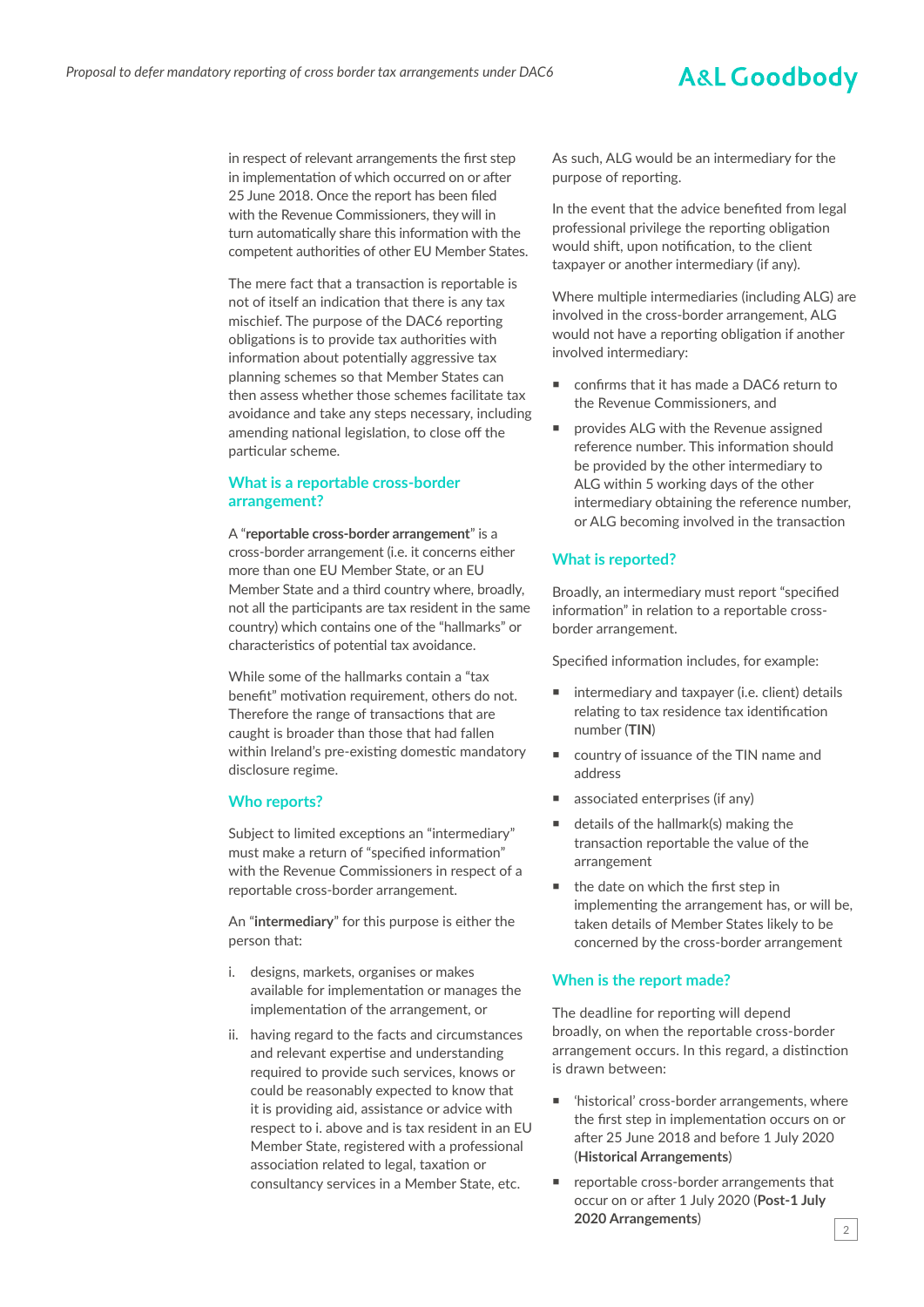## **A&L Goodbody**

in respect of relevant arrangements the first step in implementation of which occurred on or after 25 June 2018. Once the report has been filed with the Revenue Commissioners, they will in turn automatically share this information with the competent authorities of other EU Member States.

The mere fact that a transaction is reportable is not of itself an indication that there is any tax mischief. The purpose of the DAC6 reporting obligations is to provide tax authorities with information about potentially aggressive tax planning schemes so that Member States can then assess whether those schemes facilitate tax avoidance and take any steps necessary, including amending national legislation, to close off the particular scheme.

## **What is a reportable cross-border arrangement?**

A "**reportable cross-border arrangement**" is a cross-border arrangement (i.e. it concerns either more than one EU Member State, or an EU Member State and a third country where, broadly, not all the participants are tax resident in the same country) which contains one of the "hallmarks" or characteristics of potential tax avoidance.

While some of the hallmarks contain a "tax benefit" motivation requirement, others do not. Therefore the range of transactions that are caught is broader than those that had fallen within Ireland's pre-existing domestic mandatory disclosure regime.

#### **Who reports?**

Subject to limited exceptions an "intermediary" must make a return of "specified information" with the Revenue Commissioners in respect of a reportable cross-border arrangement.

An "**intermediary**" for this purpose is either the person that:

- i. designs, markets, organises or makes available for implementation or manages the implementation of the arrangement, or
- ii. having regard to the facts and circumstances and relevant expertise and understanding required to provide such services, knows or could be reasonably expected to know that it is providing aid, assistance or advice with respect to i. above and is tax resident in an EU Member State, registered with a professional association related to legal, taxation or consultancy services in a Member State, etc.

As such, ALG would be an intermediary for the purpose of reporting.

In the event that the advice benefited from legal professional privilege the reporting obligation would shift, upon notification, to the client taxpayer or another intermediary (if any).

Where multiple intermediaries (including ALG) are involved in the cross-border arrangement, ALG would not have a reporting obligation if another involved intermediary:

- confirms that it has made a DAC6 return to the Revenue Commissioners, and
- provides ALG with the Revenue assigned reference number. This information should be provided by the other intermediary to ALG within 5 working days of the other intermediary obtaining the reference number, or ALG becoming involved in the transaction

#### **What is reported?**

Broadly, an intermediary must report "specified information" in relation to a reportable crossborder arrangement.

Specified information includes, for example:

- intermediary and taxpayer (i.e. client) details relating to tax residence tax identification number (**TIN**)
- country of issuance of the TIN name and address
- associated enterprises (if any)
- details of the hallmark(s) making the transaction reportable the value of the arrangement
- the date on which the first step in implementing the arrangement has, or will be, taken details of Member States likely to be concerned by the cross-border arrangement

### **When is the report made?**

The deadline for reporting will depend broadly, on when the reportable cross-border arrangement occurs. In this regard, a distinction is drawn between:

- 'historical' cross-border arrangements, where the first step in implementation occurs on or after 25 June 2018 and before 1 July 2020 (**Historical Arrangements**)
- reportable cross-border arrangements that occur on or after 1 July 2020 (**Post-1 July 2020 Arrangements**)